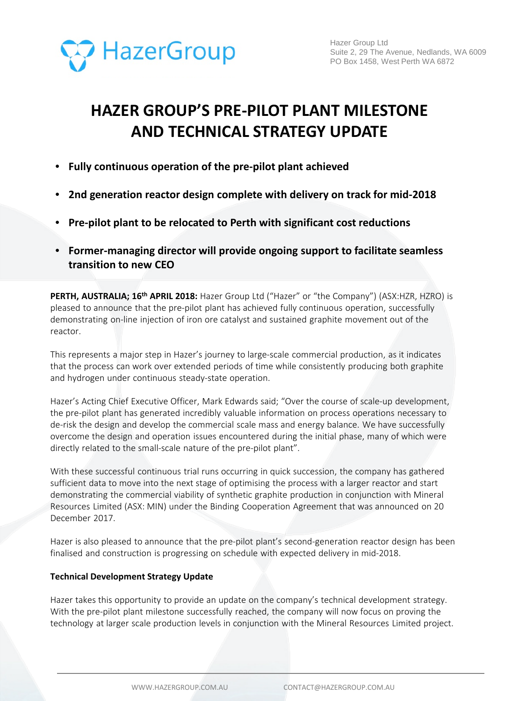

# **HAZER GROUP'S PRE-PILOT PLANT MILESTONE AND TECHNICAL STRATEGY UPDATE**

- **Fully continuous operation of the pre-pilot plant achieved**
- **2nd generation reactor design complete with delivery on track for mid-2018**
- **Pre-pilot plant to be relocated to Perth with significant cost reductions**
- **Former-managing director will provide ongoing support to facilitate seamless transition to new CEO**

**PERTH, AUSTRALIA; 16<sup>th</sup> APRIL 2018:** Hazer Group Ltd ("Hazer" or "the Company") (ASX:HZR, HZRO) is pleased to announce that the pre-pilot plant has achieved fully continuous operation, successfully demonstrating on-line injection of iron ore catalyst and sustained graphite movement out of the reactor.

This represents a major step in Hazer's journey to large-scale commercial production, as it indicates that the process can work over extended periods of time while consistently producing both graphite and hydrogen under continuous steady-state operation.

Hazer's Acting Chief Executive Officer, Mark Edwards said; "Over the course of scale-up development, the pre-pilot plant has generated incredibly valuable information on process operations necessary to de-risk the design and develop the commercial scale mass and energy balance. We have successfully overcome the design and operation issues encountered during the initial phase, many of which were directly related to the small-scale nature of the pre-pilot plant".

With these successful continuous trial runs occurring in quick succession, the company has gathered sufficient data to move into the next stage of optimising the process with a larger reactor and start demonstrating the commercial viability of synthetic graphite production in conjunction with Mineral Resources Limited (ASX: MIN) under the Binding Cooperation Agreement that was announced on 20 December 2017.

Hazer is also pleased to announce that the pre-pilot plant's second-generation reactor design has been finalised and construction is progressing on schedule with expected delivery in mid-2018.

## **Technical Development Strategy Update**

Hazer takes this opportunity to provide an update on the company's technical development strategy. With the pre-pilot plant milestone successfully reached, the company will now focus on proving the technology at larger scale production levels in conjunction with the Mineral Resources Limited project.